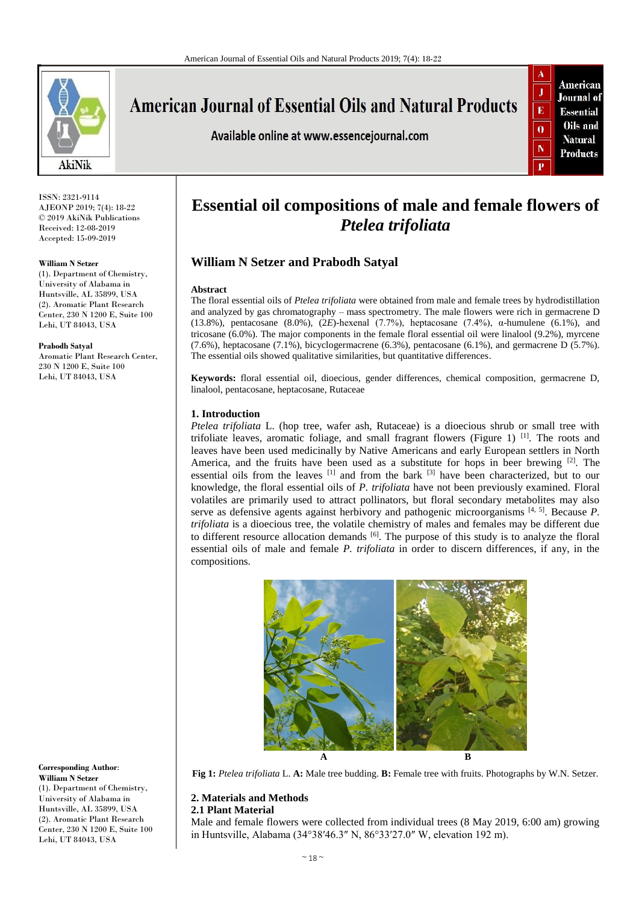

# **American Journal of Essential Oils and Natural Products**

Available online at www.essencejournal.com



ISSN: 2321-9114 AJEONP 2019; 7(4): 18-22 © 2019 AkiNik Publications Received: 12-08-2019 Accepted: 15-09-2019

## **William N Setzer**

(1). Department of Chemistry, University of Alabama in Huntsville, AL 35899, USA (2). Aromatic Plant Research Center, 230 N 1200 E, Suite 100 Lehi, UT 84043, USA

#### **Prabodh Satyal**

Aromatic Plant Research Center, 230 N 1200 E, Suite 100 Lehi, UT 84043, USA

## **Corresponding Author**: **William N Setzer**

(1). Department of Chemistry, University of Alabama in Huntsville, AL 35899, USA (2). Aromatic Plant Research Center, 230 N 1200 E, Suite 100 Lehi, UT 84043, USA

## **Essential oil compositions of male and female flowers of**  *Ptelea trifoliata*

## **William N Setzer and Prabodh Satyal**

## **Abstract**

The floral essential oils of *Ptelea trifoliata* were obtained from male and female trees by hydrodistillation and analyzed by gas chromatography – mass spectrometry. The male flowers were rich in germacrene D (13.8%), pentacosane (8.0%), (2*E*)-hexenal (7.7%), heptacosane (7.4%), α-humulene (6.1%), and tricosane (6.0%). The major components in the female floral essential oil were linalool (9.2%), myrcene (7.6%), heptacosane (7.1%), bicyclogermacrene (6.3%), pentacosane (6.1%), and germacrene D (5.7%). The essential oils showed qualitative similarities, but quantitative differences.

**Keywords:** floral essential oil, dioecious, gender differences, chemical composition, germacrene D, linalool, pentacosane, heptacosane, Rutaceae

## **1. Introduction**

*Ptelea trifoliata* L. (hop tree, wafer ash, Rutaceae) is a dioecious shrub or small tree with trifoliate leaves, aromatic foliage, and small fragrant flowers (Figure 1)<sup>[1]</sup>. The roots and leaves have been used medicinally by Native Americans and early European settlers in North America, and the fruits have been used as a substitute for hops in beer brewing  $[2]$ . The essential oils from the leaves [1] and from the bark [3] have been characterized, but to our knowledge, the floral essential oils of *P. trifoliata* have not been previously examined. Floral volatiles are primarily used to attract pollinators, but floral secondary metabolites may also serve as defensive agents against herbivory and pathogenic microorganisms <sup>[4, 5]</sup>. Because P. *trifoliata* is a dioecious tree, the volatile chemistry of males and females may be different due to different resource allocation demands  $[6]$ . The purpose of this study is to analyze the floral essential oils of male and female *P. trifoliata* in order to discern differences, if any, in the compositions.



**Fig 1:** *Ptelea trifoliata* L. **A:** Male tree budding. **B:** Female tree with fruits. Photographs by W.N. Setzer.

## **2. Materials and Methods**

## **2.1 Plant Material**

Male and female flowers were collected from individual trees (8 May 2019, 6:00 am) growing in Huntsville, Alabama (34°38′46.3″ N, 86°33′27.0″ W, elevation 192 m).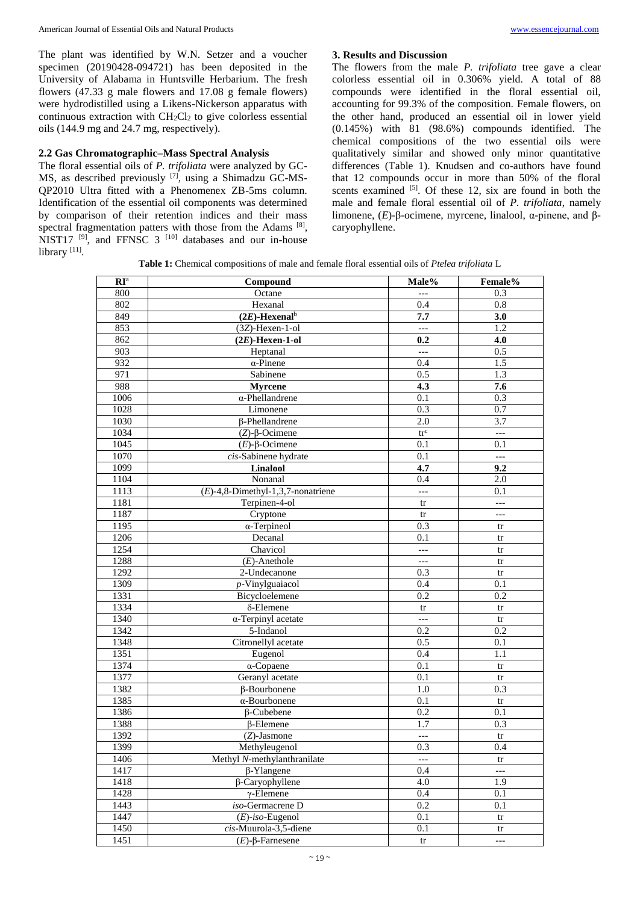The plant was identified by W.N. Setzer and a voucher specimen (20190428-094721) has been deposited in the University of Alabama in Huntsville Herbarium. The fresh flowers (47.33 g male flowers and 17.08 g female flowers) were hydrodistilled using a Likens-Nickerson apparatus with continuous extraction with  $CH_2Cl_2$  to give colorless essential oils (144.9 mg and 24.7 mg, respectively).

## **2.2 Gas Chromatographic–Mass Spectral Analysis**

The floral essential oils of *P. trifoliata* were analyzed by GC-MS, as described previously [7], using a Shimadzu GC-MS-QP2010 Ultra fitted with a Phenomenex ZB-5ms column. Identification of the essential oil components was determined by comparison of their retention indices and their mass spectral fragmentation patters with those from the Adams<sup>[8]</sup>, NIST17  $[9]$ , and FFNSC 3  $[10]$  databases and our in-house library [11].

## **3. Results and Discussion**

The flowers from the male *P. trifoliata* tree gave a clear colorless essential oil in 0.306% yield. A total of 88 compounds were identified in the floral essential oil, accounting for 99.3% of the composition. Female flowers, on the other hand, produced an essential oil in lower yield  $(0.145\%)$  with  $81$   $(98.6\%)$  compounds identified. The chemical compositions of the two essential oils were qualitatively similar and showed only minor quantitative differences (Table 1). Knudsen and co-authors have found that 12 compounds occur in more than 50% of the floral scents examined <sup>[5]</sup>. Of these 12, six are found in both the male and female floral essential oil of *P. trifoliata*, namely limonene, (*E*)-β-ocimene, myrcene, linalool, α-pinene, and βcaryophyllene.

**Table 1:** Chemical compositions of male and female floral essential oils of *Ptelea trifoliata* L

| $\mathbf{R}\mathbf{I}^{\text{a}}$ | Compound                              | Male%                    | Female%                  |  |  |  |
|-----------------------------------|---------------------------------------|--------------------------|--------------------------|--|--|--|
| 800                               | Octane                                | $---$                    | 0.3                      |  |  |  |
| 802                               | Hexanal                               | 0.4                      | $\overline{0.8}$         |  |  |  |
| 849                               | $(2E)$ -Hexenal <sup>b</sup>          | 7.7<br>3.0               |                          |  |  |  |
| 853                               | $(3Z)$ -Hexen-1-ol                    | $\overline{a}$           | 1.2                      |  |  |  |
| 862                               | $(2E)$ -Hexen-1-ol                    | 0.2                      | 4.0                      |  |  |  |
| 903                               | Heptanal                              | $---$                    | 0.5                      |  |  |  |
| 932                               | $\overline{\alpha}$ -Pinene           | 0.4                      | 1.5                      |  |  |  |
| 971                               | Sabinene                              | 0.5                      | 1.3                      |  |  |  |
| 988                               | <b>Myrcene</b>                        | 4.3                      | 7.6                      |  |  |  |
| 1006                              | $\overline{\alpha}$ -Phellandrene     | 0.1                      | 0.3                      |  |  |  |
| 1028                              | Limonene                              | 0.3                      | 0.7                      |  |  |  |
| 1030                              | <b>ß-Phellandrene</b>                 | 2.0                      | 3.7                      |  |  |  |
| 1034                              | $(Z)$ - $\beta$ -Ocimene              | $\mbox{tr}^{\rm c}$      | $\overline{a}$           |  |  |  |
| 1045                              | $(E)$ -β-Ocimene                      | 0.1                      | 0.1                      |  |  |  |
| 1070                              | cis-Sabinene hydrate                  | 0.1                      | $\overline{\phantom{a}}$ |  |  |  |
| 1099                              | Linalool                              | 4.7                      | 9.2                      |  |  |  |
| 1104                              | Nonanal                               | 0.4                      | 2.0                      |  |  |  |
| 1113                              | $(E)$ -4,8-Dimethyl-1,3,7-nonatriene  | $\overline{\phantom{a}}$ | 0.1                      |  |  |  |
| 1181                              | Terpinen-4-ol                         | tr                       | $---$                    |  |  |  |
| 1187                              | Cryptone                              | tr                       | $\overline{\phantom{a}}$ |  |  |  |
| 1195                              | $\alpha$ -Terpineol                   | 0.3                      | tr                       |  |  |  |
| 1206                              | Decanal                               | 0.1                      | tr                       |  |  |  |
| 1254                              | Chavicol                              | ---                      | tr                       |  |  |  |
| 1288                              | $(E)$ -Anethole                       | $\overline{a}$           | tr                       |  |  |  |
| 1292                              | 2-Undecanone                          | 0.3                      | tr                       |  |  |  |
| 1309                              | p-Vinylguaiacol                       | 0.4                      | 0.1                      |  |  |  |
| 1331                              | Bicycloelemene                        | $\overline{0.2}$         | 0.2                      |  |  |  |
| 1334                              | δ-Elemene                             | tr                       | tr                       |  |  |  |
| 1340                              | $\overline{\alpha}$ -Terpinyl acetate | $\overline{a}$           | tr                       |  |  |  |
| 1342                              | 5-Indanol                             | 0.2                      | 0.2                      |  |  |  |
| 1348                              | Citronellyl acetate                   | 0.5                      | 0.1                      |  |  |  |
| 1351                              | Eugenol                               | 0.4                      | 1.1                      |  |  |  |
| 1374                              | $\alpha$ -Copaene                     | 0.1                      | tr                       |  |  |  |
| 1377                              | Geranyl acetate                       | 0.1                      | tr                       |  |  |  |
| 1382                              | $\beta$ -Bourbonene                   | 1.0                      | 0.3                      |  |  |  |
| 1385                              | $\overline{\alpha}$ -Bourbonene       | 0.1                      | tr                       |  |  |  |
| 1386                              | $\beta$ -Cubebene                     | 0.2                      | 0.1                      |  |  |  |
| 1388                              | $\beta$ -Elemene                      | 1.7                      | 0.3                      |  |  |  |
| 1392                              | $(Z)$ -Jasmone                        | $\overline{a}$           | tr                       |  |  |  |
| 1399                              | Methyleugenol                         | 0.3                      | 0.4                      |  |  |  |
| 1406                              | Methyl N-methylanthranilate           | $---$                    | tr                       |  |  |  |
| 1417                              | $\beta$ -Ylangene                     | 0.4                      | $\overline{a}$           |  |  |  |
| 1418                              | β-Caryophyllene                       | 4.0                      | 1.9                      |  |  |  |
| 1428                              | $\gamma$ -Elemene                     | 0.4                      | 0.1                      |  |  |  |
| 1443                              | iso-Germacrene D                      | 0.2                      | 0.1                      |  |  |  |
| 1447                              | $(E)$ -iso-Eugenol                    | 0.1                      | tr                       |  |  |  |
| 1450                              | cis-Muurola-3,5-diene                 | 0.1                      | tr                       |  |  |  |
| 1451                              | $(E)$ -β-Farnesene                    | tr                       | $---$                    |  |  |  |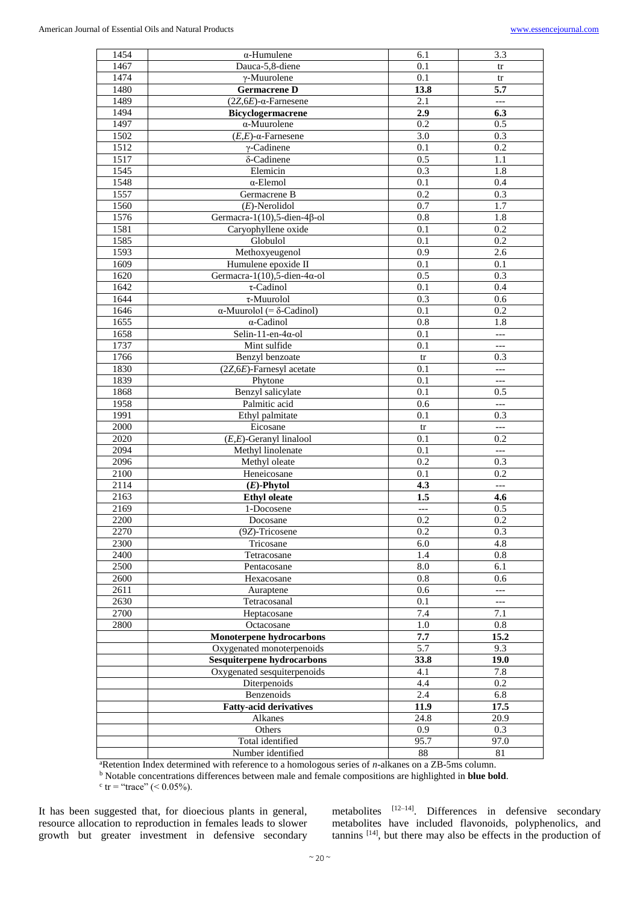| 1454 | $\alpha$ -Humulene                       | 6.1                             | 3.3                      |  |  |  |
|------|------------------------------------------|---------------------------------|--------------------------|--|--|--|
| 1467 | Dauca-5,8-diene                          | tr                              |                          |  |  |  |
| 1474 | $\gamma$ -Muurolene                      | 0.1                             | tr                       |  |  |  |
| 1480 | <b>Germacrene D</b>                      | 13.8                            | 5.7                      |  |  |  |
| 1489 | $(2Z,6E)$ - $\alpha$ -Farnesene          | 2.1                             | $\overline{\phantom{a}}$ |  |  |  |
| 1494 | <b>Bicyclogermacrene</b>                 | 2.9                             | 6.3                      |  |  |  |
| 1497 | $\alpha$ -Muurolene                      | 0.2                             | 0.5                      |  |  |  |
| 1502 | $(E,E)$ - $\alpha$ -Farnesene            | 3.0                             | 0.3                      |  |  |  |
| 1512 | $\gamma$ -Cadinene                       | 0.2                             |                          |  |  |  |
| 1517 |                                          | 0.1<br>0.5<br>δ-Cadinene<br>1.1 |                          |  |  |  |
| 1545 | Elemicin                                 | 0.3                             | 1.8                      |  |  |  |
| 1548 | $\alpha$ -Elemol                         | 0.1                             | 0.4                      |  |  |  |
| 1557 | Germacrene B                             | 0.2                             | $0.\overline{3}$         |  |  |  |
| 1560 | $(E)$ -Nerolidol                         | 0.7                             | 1.7                      |  |  |  |
| 1576 | Germacra-1(10),5-dien-4 $\beta$ -ol      | $\overline{1.8}$                |                          |  |  |  |
| 1581 | Caryophyllene oxide                      | 0.8<br>0.1                      | 0.2                      |  |  |  |
| 1585 | Globulol                                 | 0.1                             | 0.2                      |  |  |  |
| 1593 | Methoxyeugenol                           | 0.9                             | 2.6                      |  |  |  |
| 1609 | Humulene epoxide II                      | 0.1                             | 0.1                      |  |  |  |
| 1620 | Germacra-1(10),5-dien-4 $\alpha$ -ol     | 0.5                             | 0.3                      |  |  |  |
| 1642 | $\tau$ -Cadinol                          | 0.1                             | 0.4                      |  |  |  |
|      |                                          |                                 |                          |  |  |  |
| 1644 | $\tau$ -Muurolol                         | 0.3                             | 0.6                      |  |  |  |
| 1646 | $\alpha$ -Muurolol (= $\delta$ -Cadinol) | 0.1                             | 0.2                      |  |  |  |
| 1655 | $\alpha$ -Cadinol                        | 0.8                             | 1.8                      |  |  |  |
| 1658 | Selin-11-en-4 $\alpha$ -ol               | 0.1                             | $---$                    |  |  |  |
| 1737 | Mint sulfide                             | 0.1                             | $\overline{a}$           |  |  |  |
| 1766 | Benzyl benzoate                          | tr                              | 0.3                      |  |  |  |
| 1830 | $(2Z, 6E)$ -Farnesyl acetate             | 0.1                             | $---$                    |  |  |  |
| 1839 | Phytone                                  | 0.1                             | $---$                    |  |  |  |
| 1868 | Benzyl salicylate                        | 0.1                             | 0.5                      |  |  |  |
| 1958 | Palmitic acid                            | 0.6                             | $\overline{a}$           |  |  |  |
| 1991 | Ethyl palmitate                          | 0.1                             | 0.3                      |  |  |  |
| 2000 | Eicosane                                 | tr                              | $\overline{\phantom{a}}$ |  |  |  |
| 2020 | $(E,E)$ -Geranyl linalool                | 0.1                             | 0.2                      |  |  |  |
| 2094 | Methyl linolenate                        | 0.1                             | $\overline{\phantom{a}}$ |  |  |  |
| 2096 | Methyl oleate                            | $0.\overline{2}$                | 0.3                      |  |  |  |
| 2100 | Heneicosane                              | 0.1                             | 0.2                      |  |  |  |
| 2114 | $(E)$ -Phytol                            | 4.3                             | $---$                    |  |  |  |
| 2163 | <b>Ethyl</b> oleate                      | 1.5                             | 4.6                      |  |  |  |
| 2169 | 1-Docosene                               | $\overline{a}$                  | 0.5                      |  |  |  |
| 2200 | Docosane                                 | 0.2                             | 0.2                      |  |  |  |
| 2270 | (9Z)-Tricosene                           | $0.\overline{2}$                | 0.3                      |  |  |  |
| 2300 | Tricosane                                | 6.0                             | 4.8                      |  |  |  |
| 2400 | Tetracosane                              | 1.4                             | 0.8                      |  |  |  |
| 2500 | Pentacosane                              | 8.0                             | 6.1                      |  |  |  |
| 2600 | Hexacosane                               | 0.8                             | 0.6                      |  |  |  |
| 2611 | Auraptene                                | 0.6                             | $\overline{a}$           |  |  |  |
| 2630 | Tetracosanal                             | 0.1                             | $\overline{\phantom{a}}$ |  |  |  |
| 2700 | Heptacosane                              | 7.4                             | 7.1                      |  |  |  |
| 2800 | Octacosane                               | 1.0                             | 0.8                      |  |  |  |
|      | <b>Monoterpene hydrocarbons</b>          | 7.7                             | 15.2                     |  |  |  |
|      | Oxygenated monoterpenoids                | 5.7                             | 9.3                      |  |  |  |
|      | <b>Sesquiterpene hydrocarbons</b>        | 33.8                            | 19.0                     |  |  |  |
|      | Oxygenated sesquiterpenoids              | 4.1                             | 7.8                      |  |  |  |
|      | Diterpenoids                             | 4.4                             | 0.2                      |  |  |  |
|      | Benzenoids                               | 2.4                             | 6.8                      |  |  |  |
|      | <b>Fatty-acid derivatives</b>            | 11.9                            | 17.5                     |  |  |  |
|      | Alkanes                                  | 24.8                            | 20.9                     |  |  |  |
|      | Others                                   | 0.9                             | 0.3                      |  |  |  |
|      | Total identified                         | 95.7                            | 97.0                     |  |  |  |
|      | Number identified                        | 88                              | 81                       |  |  |  |
|      |                                          |                                 |                          |  |  |  |

<sup>a</sup>Retention Index determined with reference to a homologous series of *n*-alkanes on a ZB-5ms column.

<sup>b</sup> Notable concentrations differences between male and female compositions are highlighted in **blue bold**.

 $\text{c tr} = \text{``trace''} (< 0.05\%).$ 

It has been suggested that, for dioecious plants in general, resource allocation to reproduction in females leads to slower growth but greater investment in defensive secondary

metabolites [12-14]. Differences in defensive secondary metabolites have included flavonoids, polyphenolics, and tannins [14], but there may also be effects in the production of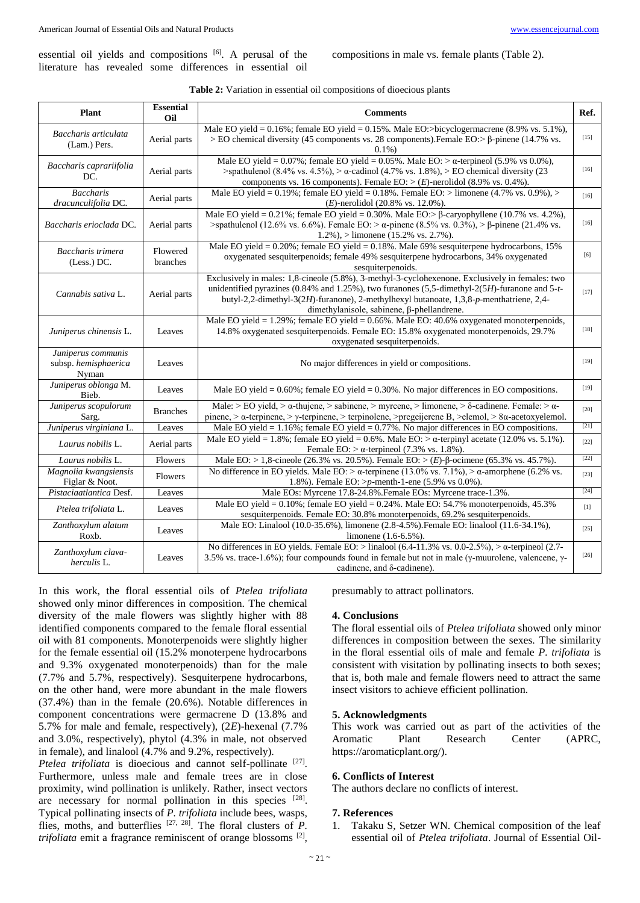essential oil yields and compositions  $[6]$ . A perusal of the literature has revealed some differences in essential oil

compositions in male vs. female plants (Table 2).

| <b>Plant</b>                                        | <b>Essential</b><br>Oil | <b>Comments</b>                                                                                                                                                                                                                                                                                                                               | Ref.   |
|-----------------------------------------------------|-------------------------|-----------------------------------------------------------------------------------------------------------------------------------------------------------------------------------------------------------------------------------------------------------------------------------------------------------------------------------------------|--------|
| Baccharis articulata<br>(Lam.) Pers.                | Aerial parts            | Male EO yield = $0.16\%$ ; female EO yield = $0.15\%$ . Male EO:>bicyclogermacrene (8.9% vs. 5.1%),<br>> EO chemical diversity (45 components vs. 28 components). Female EO: > β-pinene (14.7% vs.<br>$0.1\%$                                                                                                                                 | $[15]$ |
| Baccharis caprariifolia<br>DC.                      | Aerial parts            | Male EO yield = $0.07\%$ ; female EO yield = $0.05\%$ . Male EO: $> \alpha$ -terpineol (5.9% vs 0.0%),<br>>spathulenol (8.4% vs. 4.5%), > $\alpha$ -cadinol (4.7% vs. 1.8%), > EO chemical diversity (23<br>components vs. 16 components). Female EO: > $(E)$ -nerolidol (8.9% vs. 0.4%).                                                     | $[16]$ |
| <b>Baccharis</b><br>dracunculifolia DC.             | Aerial parts            | Male EO yield = 0.19%; female EO yield = 0.18%. Female EO: > limonene (4.7% vs. 0.9%), ><br>$(E)$ -nerolidol (20.8% vs. 12.0%).                                                                                                                                                                                                               | $[16]$ |
| Baccharis erioclada DC.                             | Aerial parts            | Male EO yield = $0.21\%$ ; female EO yield = $0.30\%$ . Male EO: > $\beta$ -caryophyllene (10.7% vs. 4.2%),<br>>spathulenol (12.6% vs. 6.6%). Female EO: > α-pinene (8.5% vs. 0.3%), > β-pinene (21.4% vs.<br>$1.2\%$ ), > limonene (15.2% vs. 2.7%).                                                                                         | $[16]$ |
| Baccharis trimera<br>(Less.) DC.                    | Flowered<br>branches    | Male EO yield = $0.20\%$ ; female EO yield = $0.18\%$ . Male 69% sesquiterpene hydrocarbons, 15%<br>oxygenated sesquiterpenoids; female 49% sesquiterpene hydrocarbons, 34% oxygenated<br>sesquiterpenoids.                                                                                                                                   | [6]    |
| Cannabis sativa L.                                  | Aerial parts            | Exclusively in males: 1,8-cineole (5.8%), 3-methyl-3-cyclohexenone. Exclusively in females: two<br>unidentified pyrazines (0.84% and 1.25%), two furanones (5.5-dimethyl- $2(5H)$ -furanone and 5-t-<br>butyl-2,2-dimethyl-3(2H)-furanone), 2-methylhexyl butanoate, 1,3,8-p-menthatriene, 2,4-<br>dimethylanisole, sabinene, β-phellandrene. | $[17]$ |
| Juniperus chinensis L.                              | Leaves                  | Male EO yield = $1.29\%$ ; female EO yield = $0.66\%$ . Male EO: 40.6% oxygenated monoterpenoids,<br>14.8% oxygenated sesquiterpenoids. Female EO: 15.8% oxygenated monoterpenoids, 29.7%<br>oxygenated sesquiterpenoids.                                                                                                                     | $[18]$ |
| Juniperus communis<br>subsp. hemisphaerica<br>Nyman | Leaves                  | No major differences in yield or compositions.                                                                                                                                                                                                                                                                                                | $[19]$ |
| Juniperus oblonga M.<br>Bieb.                       | Leaves                  | Male EO yield = $0.60\%$ ; female EO yield = $0.30\%$ . No major differences in EO compositions.                                                                                                                                                                                                                                              | $[19]$ |
| Juniperus scopulorum<br>Sarg.                       | <b>Branches</b>         | Male: > EO yield, > $\alpha$ -thujene, > sabinene, > myrcene, > limonene, > $\delta$ -cadinene. Female: > $\alpha$ -<br>pinene, > $\alpha$ -terpinene, > $\gamma$ -terpinene, > terpinolene, >pregeijerene B, >elemol, > 8 $\alpha$ -acetoxyelemol.                                                                                           | $[20]$ |
| Juniperus virginiana L.                             | Leaves                  | Male EO yield = $1.16\%$ ; female EO yield = 0.77%. No major differences in EO compositions.                                                                                                                                                                                                                                                  | $[21]$ |
| Laurus nobilis L.                                   | Aerial parts            | Male EO yield = 1.8%; female EO yield = 0.6%. Male EO: $> \alpha$ -terpinyl acetate (12.0% vs. 5.1%).<br>Female EO: $> \alpha$ -terpineol (7.3% vs. 1.8%).                                                                                                                                                                                    | $[22]$ |
| Laurus nobilis L.                                   | Flowers                 | Male EO: > 1,8-cineole (26.3% vs. 20.5%). Female EO: > (E)- $\beta$ -ocimene (65.3% vs. 45.7%).                                                                                                                                                                                                                                               | [22]   |
| Magnolia kwangsiensis<br>Figlar & Noot.             | Flowers                 | No difference in EO yields. Male EO: $> \alpha$ -terpinene (13.0% vs. 7.1%), $> \alpha$ -amorphene (6.2% vs.<br>1.8%). Female EO: $\gg p$ -menth-1-ene (5.9% vs 0.0%).                                                                                                                                                                        | $[23]$ |
| Pistaciaatlantica Desf.                             | Leaves                  | Male EOs: Myrcene 17.8-24.8%. Female EOs: Myrcene trace-1.3%.                                                                                                                                                                                                                                                                                 | [24]   |
| Ptelea trifoliata L.                                | Leaves                  | Male EO yield = $0.10\%$ ; female EO yield = $0.24\%$ . Male EO: 54.7% monoterpenoids, 45.3%<br>sesquiterpenoids. Female EO: 30.8% monoterpenoids, 69.2% sesquiterpenoids.                                                                                                                                                                    | $[1]$  |
| Zanthoxylum alatum<br>Roxb.                         | Leaves                  | Male EO: Linalool (10.0-35.6%), limonene (2.8-4.5%). Female EO: linalool (11.6-34.1%),<br>limonene $(1.6-6.5\%)$ .                                                                                                                                                                                                                            | $[25]$ |
| Zanthoxylum clava-<br>herculis L.                   | Leaves                  | No differences in EO yields. Female EO: $>$ linalool (6.4-11.3% vs. 0.0-2.5%), $> \alpha$ -terpineol (2.7-<br>3.5% vs. trace-1.6%); four compounds found in female but not in male ( $\gamma$ -muurolene, valencene, $\gamma$ -<br>cadinene, and $\delta$ -cadinene).                                                                         | $[26]$ |

**Table 2:** Variation in essential oil compositions of dioecious plants

In this work, the floral essential oils of *Ptelea trifoliata* showed only minor differences in composition. The chemical diversity of the male flowers was slightly higher with 88 identified components compared to the female floral essential oil with 81 components. Monoterpenoids were slightly higher for the female essential oil (15.2% monoterpene hydrocarbons and 9.3% oxygenated monoterpenoids) than for the male (7.7% and 5.7%, respectively). Sesquiterpene hydrocarbons, on the other hand, were more abundant in the male flowers (37.4%) than in the female (20.6%). Notable differences in component concentrations were germacrene D (13.8% and 5.7% for male and female, respectively), (2*E*)-hexenal (7.7% and 3.0%, respectively), phytol (4.3% in male, not observed in female), and linalool (4.7% and 9.2%, respectively).

Ptelea trifoliata is dioecious and cannot self-pollinate <sup>[27]</sup>. Furthermore, unless male and female trees are in close proximity, wind pollination is unlikely. Rather, insect vectors are necessary for normal pollination in this species [28]. Typical pollinating insects of *P. trifoliata* include bees, wasps, flies, moths, and butterflies <sup>[27, 28]</sup>. The floral clusters of *P*. *trifoliata* emit a fragrance reminiscent of orange blossoms <sup>[2]</sup>, presumably to attract pollinators.

## **4. Conclusions**

The floral essential oils of *Ptelea trifoliata* showed only minor differences in composition between the sexes. The similarity in the floral essential oils of male and female *P. trifoliata* is consistent with visitation by pollinating insects to both sexes; that is, both male and female flowers need to attract the same insect visitors to achieve efficient pollination.

## **5. Acknowledgments**

This work was carried out as part of the activities of the Aromatic Plant Research Center (APRC, https://aromaticplant.org/).

#### **6. Conflicts of Interest**

The authors declare no conflicts of interest.

## **7. References**

1. Takaku S, Setzer WN. Chemical composition of the leaf essential oil of *Ptelea trifoliata*. Journal of Essential Oil